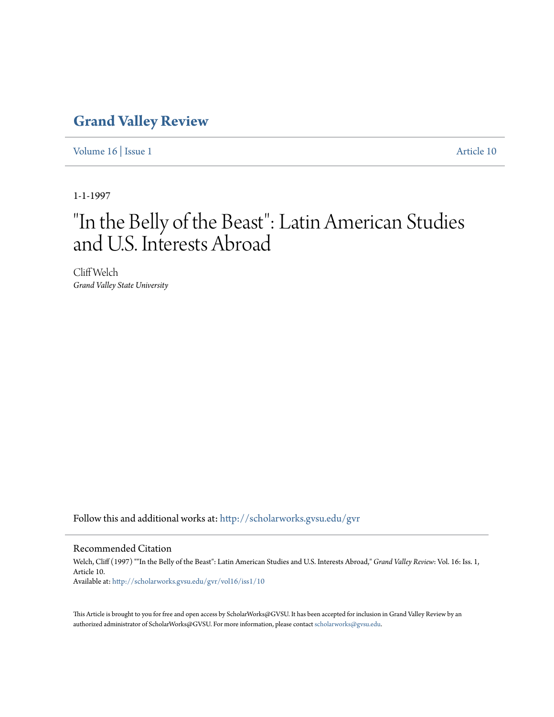### **[Grand Valley Review](http://scholarworks.gvsu.edu/gvr?utm_source=scholarworks.gvsu.edu%2Fgvr%2Fvol16%2Fiss1%2F10&utm_medium=PDF&utm_campaign=PDFCoverPages)**

[Volume 16](http://scholarworks.gvsu.edu/gvr/vol16?utm_source=scholarworks.gvsu.edu%2Fgvr%2Fvol16%2Fiss1%2F10&utm_medium=PDF&utm_campaign=PDFCoverPages) | [Issue 1](http://scholarworks.gvsu.edu/gvr/vol16/iss1?utm_source=scholarworks.gvsu.edu%2Fgvr%2Fvol16%2Fiss1%2F10&utm_medium=PDF&utm_campaign=PDFCoverPages) [Article 10](http://scholarworks.gvsu.edu/gvr/vol16/iss1/10?utm_source=scholarworks.gvsu.edu%2Fgvr%2Fvol16%2Fiss1%2F10&utm_medium=PDF&utm_campaign=PDFCoverPages)

1-1-1997

# "In the Belly of the Beast": Latin American Studies and U.S. Interests Abroad

Cliff Welch *Grand Valley State University*

Follow this and additional works at: [http://scholarworks.gvsu.edu/gvr](http://scholarworks.gvsu.edu/gvr?utm_source=scholarworks.gvsu.edu%2Fgvr%2Fvol16%2Fiss1%2F10&utm_medium=PDF&utm_campaign=PDFCoverPages)

#### Recommended Citation

Welch, Cliff (1997) ""In the Belly of the Beast": Latin American Studies and U.S. Interests Abroad," *Grand Valley Review*: Vol. 16: Iss. 1, Article 10. Available at: [http://scholarworks.gvsu.edu/gvr/vol16/iss1/10](http://scholarworks.gvsu.edu/gvr/vol16/iss1/10?utm_source=scholarworks.gvsu.edu%2Fgvr%2Fvol16%2Fiss1%2F10&utm_medium=PDF&utm_campaign=PDFCoverPages)

This Article is brought to you for free and open access by ScholarWorks@GVSU. It has been accepted for inclusion in Grand Valley Review by an authorized administrator of ScholarWorks@GVSU. For more information, please contact [scholarworks@gvsu.edu.](mailto:scholarworks@gvsu.edu)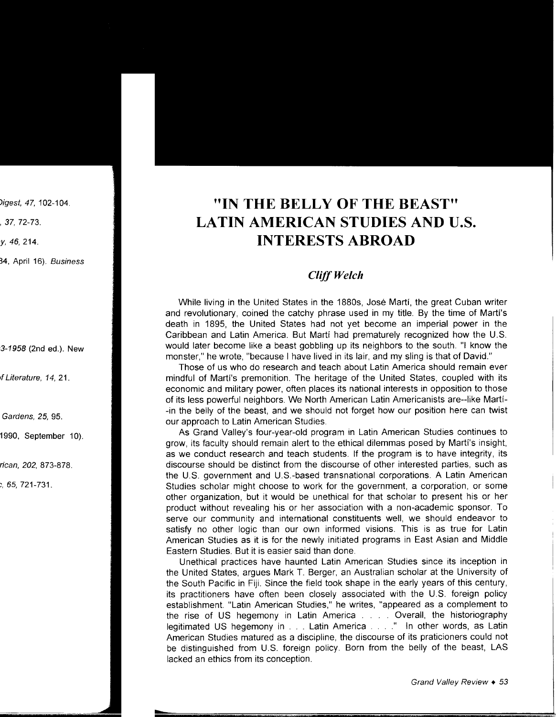## **"IN THE BELLY OF THE BEAST" LATIN AMERICAN STUDIES AND U.S. INTERESTS ABROAD**

### *Cliff Welch*

While living in the United States in the 1880s, Jose Marti, the great Cuban writer and revolutionary, coined the catchy phrase used in my title. By the time of Marti's death in 1895, the United States had not yet become an imperial power in the Caribbean and Latin America. But Marti had prematurely recognized how the U.S. would later become like a beast gobbling up its neighbors to the south. "I know the monster," he wrote, "because I have lived in its lair, and my sling is that of David."

Those of us who do research and teach about Latin America should remain ever mindful of Marti's premonition. The heritage of the United States, coupled with its economic and military power, often places its national interests in opposition to those of its less powerful neighbors. We North American Latin Americanists are--like Marti- -in the belly of the beast, and we should not forget how our position here can twist our approach to Latin American Studies.

As Grand Valley's four-year-old program in Latin American Studies continues to grow, its faculty should remain alert to the ethical dilemmas posed by Marti's insight, as we conduct research and teach students. If the program is to have integrity, its discourse should be distinct from the discourse of other interested parties, such as the U.S. government and U.S.-based transnational corporations. A Latin American Studies scholar might choose to work for the government, a corporation, or some other organization, but it would be unethical for that scholar to present his or her product without revealing his or her association with a non-academic sponsor. To serve our community and international constituents well, we should endeavor to satisfy no other logic than our own informed visions. This is as true for Latin American Studies as it is for the newly initiated programs in East Asian and Middle Eastern Studies. But it is easier said than done.

Unethical practices have haunted Latin American Studies since its inception in the United States, argues Mark T. Berger, an Australian scholar at the University of the South Pacific in Fiji. Since the field took shape in the early years of this century, its practitioners have often been closely associated with the U.S. foreign policy establishment. "Latin American Studies," he writes, "appeared as a complement to the rise of US hegemony in Latin America . . . . Overall, the historiography legitimated US hegemony in . . . Latin America . . . . " In other words, as Latin American Studies matured as a discipline, the discourse of its praticioners could not be distinguished from U.S. foreign policy. Born from the belly of the beast, LAS lacked an ethics from its conception.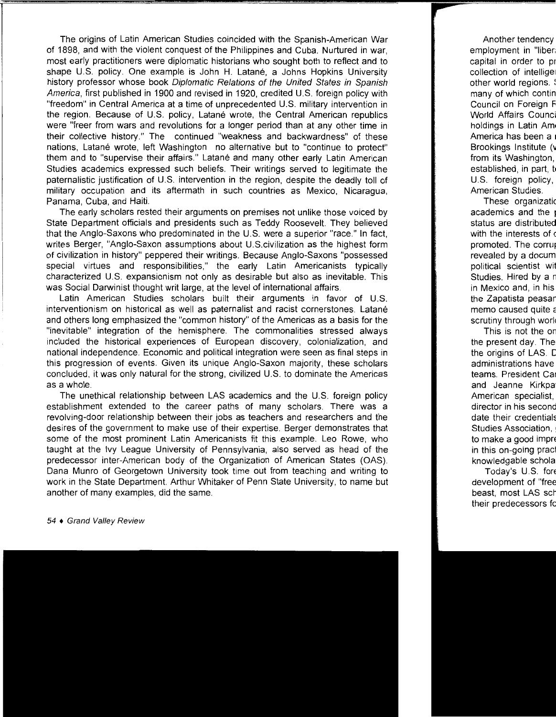The origins of Latin American Studies coincided with the Spanish-American War of 1898, and with the violent conquest of the Philippines and Cuba. Nurtured in war, most early practitioners were diplomatic historians who sought both to reflect and to shape U.S. policy. One example is John H. Latané, a Johns Hopkins University history professor whose book Diplomatic Relations of the United States in Spanish America, first published in 1900 and revised in 1920, credited U.S. foreign policy with "freedom" in Central America at a time of unprecedented U.S. military intervention in the region. Because of U.S. policy, Latané wrote, the Central American republics were "freer from wars and revolutions for a longer period than at any other time in their collective history." The continued "weakness and backwardness" of these nations, Latané wrote, left Washington no alternative but to "continue to protect" them and to "supervise their affairs." Latane and many other early Latin American Studies academics expressed such beliefs. Their writings served to legitimate the paternalistic justification of U.S. intervention in the region, despite the deadly toll of military occupation and its aftermath in such countries as Mexico, Nicaragua, Panama, Cuba, and Haiti.

The early scholars rested their arguments on premises not unlike those voiced by State Department officials and presidents such as Teddy Roosevelt. They believed that the Anglo-Saxons who predominated in the U.S. were a superior "race." In fact, writes Berger, "Anglo-Saxon assumptions about U.S.civilization as the highest form of civilization in history" peppered their writings. Because Anglo-Saxons "possessed special virtues and responsibilities," the early Latin Americanists typically characterized U.S. expansionism not only as desirable but also as inevitable. This was Social Darwinist thought writ large, at the level of international affairs.

Latin American Studies scholars built their arguments in favor of U.S. interventionism on historical as well as paternalist and racist cornerstones. Latane and others long emphasized the "common history" of the Americas as a basis for the "inevitable" integration of the hemisphere. The commonalities stressed always included the historical experiences of European discovery, colonialization, and national independence. Economic and political integration were seen as final steps in this progression of events. Given its unique Anglo-Saxon majority, these scholars concluded, it was only natural for the strong, civilized U.S. to dominate the Americas as a whole.

The unethical relationship between LAS academics and the U.S. foreign policy establishment extended to the career paths of many scholars. There was a revolving-door relationship between their jobs as teachers and researchers and the desires of the government to make use of their expertise. Berger demonstrates that some of the most prominent Latin Americanists fit this example. Leo Rowe, who taught at the Ivy League University of Pennsylvania, also served as head of the predecessor inter-American body of the Organization of American States (OAS). Dana Munro of Georgetown University took time out from teaching and writing to work in the State Department. Arthur Whitaker of Penn State University, to name but another of many examples, did the same.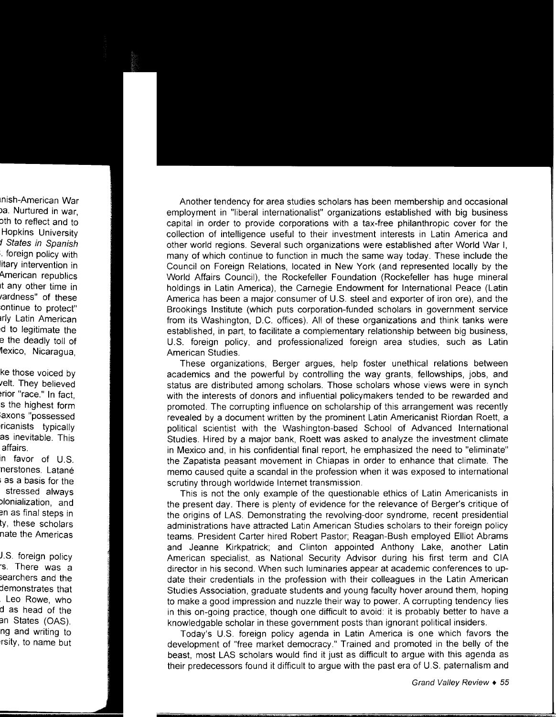Another tendency for area studies scholars has been membership and occasional employment in "liberal internationalist" organizations established with big business capital in order to provide corporations with a tax-free philanthropic cover for the collection of intelligence useful to their investment interests in Latin America and other world regions. Several such organizations were established after World War I, many of which continue to function in much the same way today. These include the Council on Foreign Relations, located in New York (and represented locally by the World Affairs Council), the Rockefeller Foundation (Rockefeller has huge mineral holdings in Latin America), the Carnegie Endowment for International Peace (Latin America has been a major consumer of U.S. steel and exporter of iron ore), and the Brookings Institute (which puts corporation-funded scholars in government service from its Washington, D.C. offices). All of these organizations and think tanks were established, in part, to facilitate a complementary relationship between big business, U.S. foreign policy, and professionalized foreign area studies, such as Latin American Studies.

These organizations, Berger argues, help foster unethical relations between academics and the powerful by controlling the way grants, fellowships, jobs, and status are distributed among scholars. Those scholars whose views were in synch with the interests of donors and influential policymakers tended to be rewarded and promoted. The corrupting influence on scholarship of this arrangement was recently revealed by a document written by the prominent Latin Americanist Riordan Roett, a political scientist with the Washington-based School of Advanced International Studies. Hired by a major bank, Roett was asked to analyze the investment climate in Mexico and, in his confidential final report, he emphasized the need to "eliminate" the Zapatista peasant movement in Chiapas in order to enhance that climate. The memo caused quite a scandal in the profession when it was exposed to international scrutiny through worldwide Internet transmission.

This is not the only example of the questionable ethics of Latin Americanists in the present day. There is plenty of evidence for the relevance of Berger's critique of the origins of LAS. Demonstrating the revolving-door syndrome, recent presidential administrations have attracted Latin American Studies scholars to their foreign policy teams. President Carter hired Robert Pastor; Reagan-Bush employed Elliot Abrams and Jeanne Kirkpatrick; and Clinton appointed Anthony Lake, another Latin American specialist, as National Security Advisor during his first term and CIA director in his second. When such luminaries appear at academic conferences to update their credentials in the profession with their colleagues in the Latin American Studies Association, graduate students and young faculty hover around them, hoping to make a good impression and nuzzle their way to power. A corrupting tendency lies in this on-going practice, though one difficult to avoid: it is probably better to have a knowledgable scholar in these government posts than ignorant political insiders.

Today's U.S. foreign policy agenda in Latin America is one which favors the development of "free market democracy." Trained and promoted in the belly of the beast, most LAS scholars would find it just as difficult to argue with this agenda as their predecessors found it difficult to argue with the past era of U.S. paternalism and